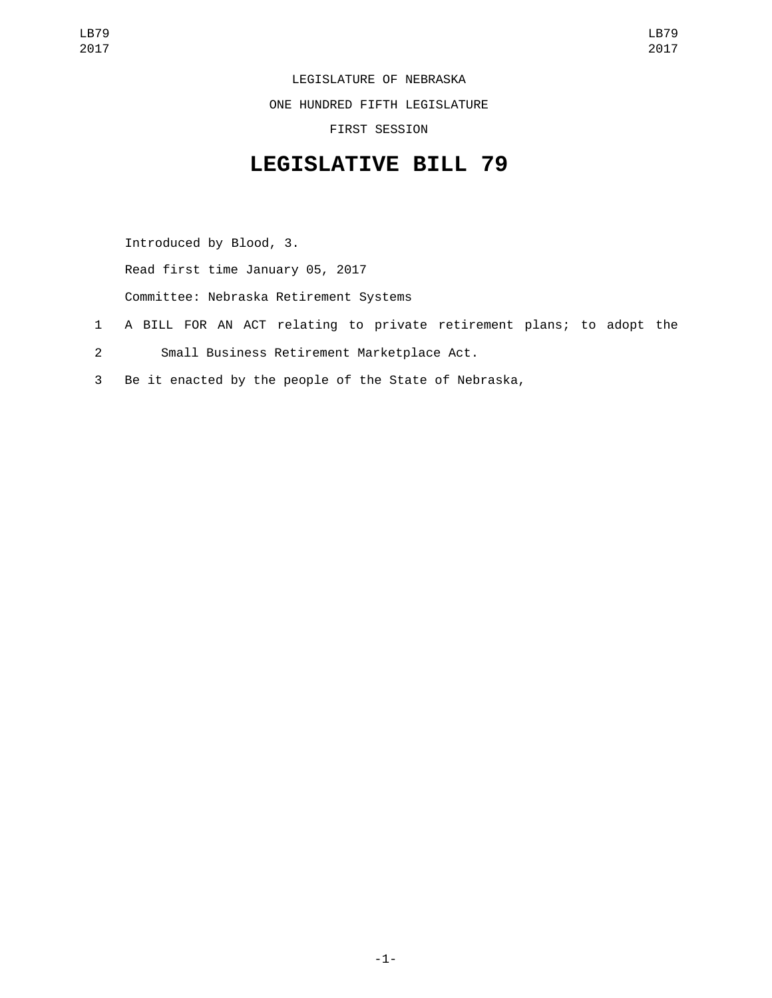LEGISLATURE OF NEBRASKA

ONE HUNDRED FIFTH LEGISLATURE

FIRST SESSION

## **LEGISLATIVE BILL 79**

Introduced by Blood, 3.

Read first time January 05, 2017

Committee: Nebraska Retirement Systems

- 1 A BILL FOR AN ACT relating to private retirement plans; to adopt the
- Small Business Retirement Marketplace Act.2
- 3 Be it enacted by the people of the State of Nebraska,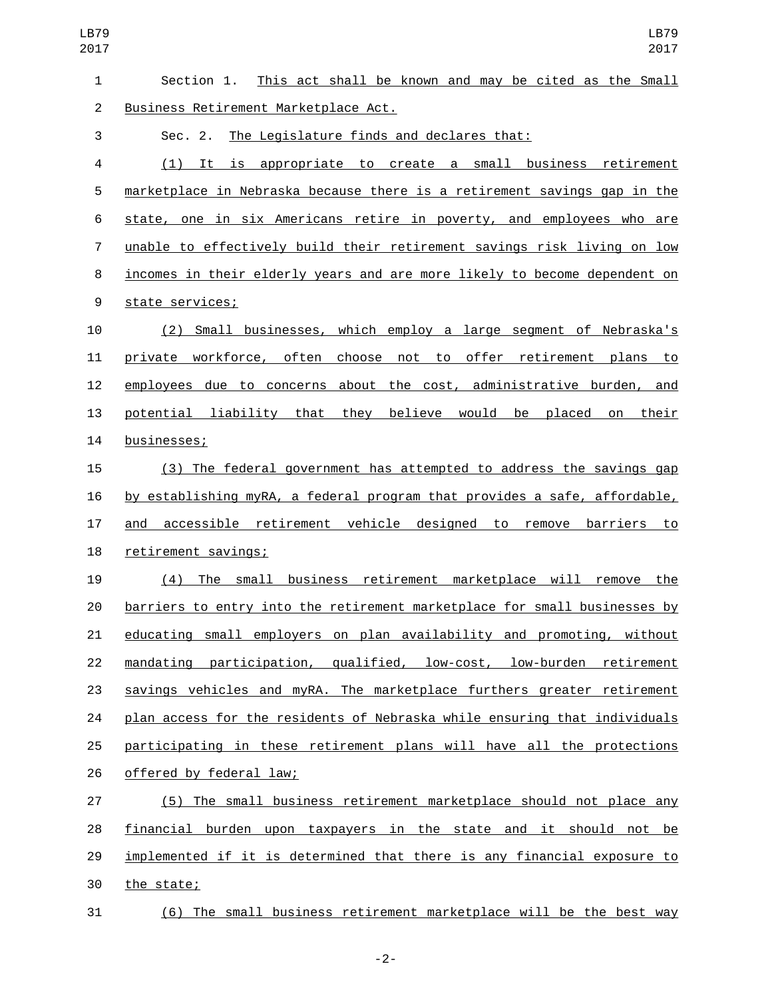| $\mathbf{1}$   | This act shall be known and may be cited as the Small<br>Section 1.       |
|----------------|---------------------------------------------------------------------------|
| $\overline{2}$ | Business Retirement Marketplace Act.                                      |
| 3              | The Legislature finds and declares that:<br>Sec. 2.                       |
| 4              | (1) It is appropriate to create a small business retirement               |
| 5              | marketplace in Nebraska because there is a retirement savings gap in the  |
| 6              | state, one in six Americans retire in poverty, and employees who are      |
| $\overline{7}$ | unable to effectively build their retirement savings risk living on low   |
| 8              | incomes in their elderly years and are more likely to become dependent on |
| 9              | state services;                                                           |
| 10             | (2) Small businesses, which employ a large segment of Nebraska's          |
| 11             | private workforce, often choose not to offer retirement plans to          |
| 12             | employees due to concerns about the cost, administrative burden, and      |
| 13             | potential liability that they believe would be placed on their            |
| 14             | businesses;                                                               |
| 15             | (3) The federal government has attempted to address the savings gap       |
| 16             | by establishing myRA, a federal program that provides a safe, affordable, |
| 17             | accessible retirement vehicle designed to remove barriers to<br>and       |
| 18             | retirement savings;                                                       |
| 19             | (4) The small business retirement marketplace will remove the             |
| 20             | barriers to entry into the retirement marketplace for small businesses by |
| 21             | educating small employers on plan availability and promoting, without     |
| 22             | mandating participation, qualified, low-cost, low-burden retirement       |
| 23             | savings vehicles and myRA. The marketplace furthers greater retirement    |
| 24             | plan access for the residents of Nebraska while ensuring that individuals |
| 25             | participating in these retirement plans will have all the protections     |
| 26             | offered by federal law;                                                   |
| 27             | (5) The small business retirement marketplace should not place any        |
| 28             | financial burden upon taxpayers in the state and it should not be         |
| 29             | implemented if it is determined that there is any financial exposure to   |
| 30             | the state;                                                                |
| 31             | (6) The small business retirement marketplace will be the best way        |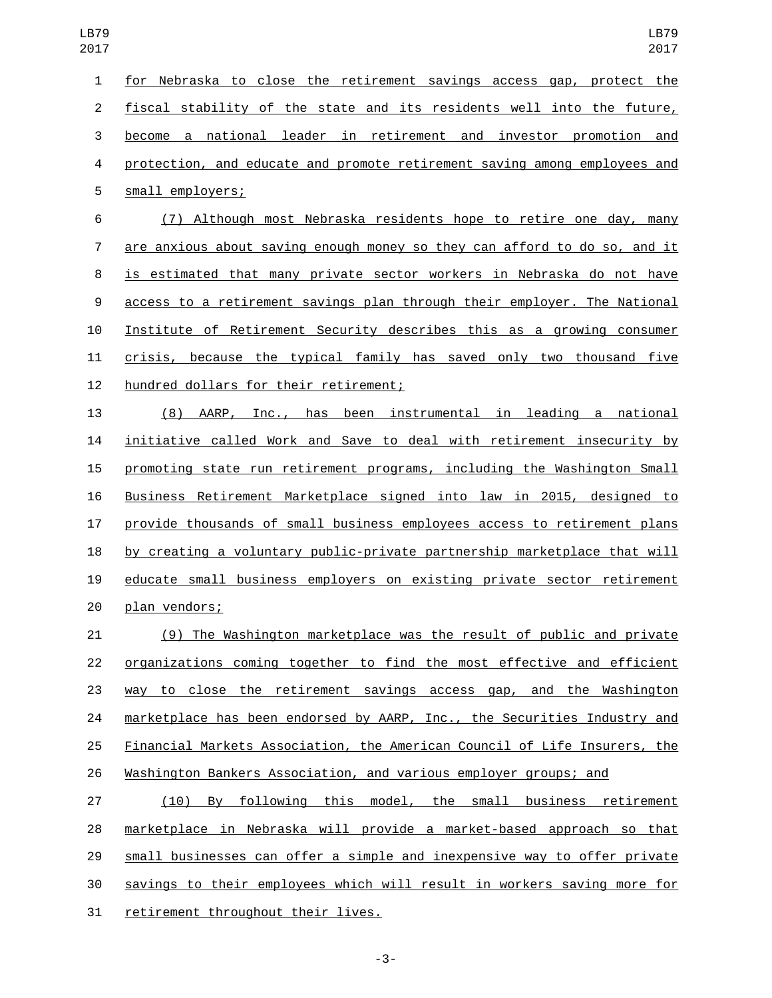| 1              | for Nebraska to close the retirement savings access gap, protect the      |
|----------------|---------------------------------------------------------------------------|
| $\overline{c}$ | fiscal stability of the state and its residents well into the future,     |
| 3              | become a national leader in retirement and investor promotion and         |
| 4              | protection, and educate and promote retirement saving among employees and |
| 5              | small employers;                                                          |
| 6              | (7) Although most Nebraska residents hope to retire one day, many         |
| 7              | are anxious about saving enough money so they can afford to do so, and it |
| 8              | is estimated that many private sector workers in Nebraska do not have     |
| 9              | access to a retirement savings plan through their employer. The National  |
| 10             | Institute of Retirement Security describes this as a growing consumer     |
| 11             | crisis, because the typical family has saved only two thousand five       |
| 12             | hundred dollars for their retirement;                                     |
| 13             | (8) AARP, Inc., has been instrumental in leading a national               |
| 14             | initiative called Work and Save to deal with retirement insecurity by     |
| 15             | promoting state run retirement programs, including the Washington Small   |
| 16             | Business Retirement Marketplace signed into law in 2015, designed to      |
| 17             | provide thousands of small business employees access to retirement plans  |
| 18             | by creating a voluntary public-private partnership marketplace that will  |
| 19             | educate small business employers on existing private sector retirement    |
| 20             | plan vendors;                                                             |
| 21             | (9) The Washington marketplace was the result of public and private       |
| 22             | organizations coming together to find the most effective and efficient    |
| 23             | way to close the retirement savings access gap, and the Washington        |
| 24             | marketplace has been endorsed by AARP, Inc., the Securities Industry and  |
| 25             | Financial Markets Association, the American Council of Life Insurers, the |
| 26             | Washington Bankers Association, and various employer groups; and          |
| 27             | By following this model, the small business retirement<br>(10)            |
| 28             | marketplace in Nebraska will provide a market-based approach so that      |
| 29             | small businesses can offer a simple and inexpensive way to offer private  |
| 30             | savings to their employees which will result in workers saving more for   |

31 retirement throughout their lives.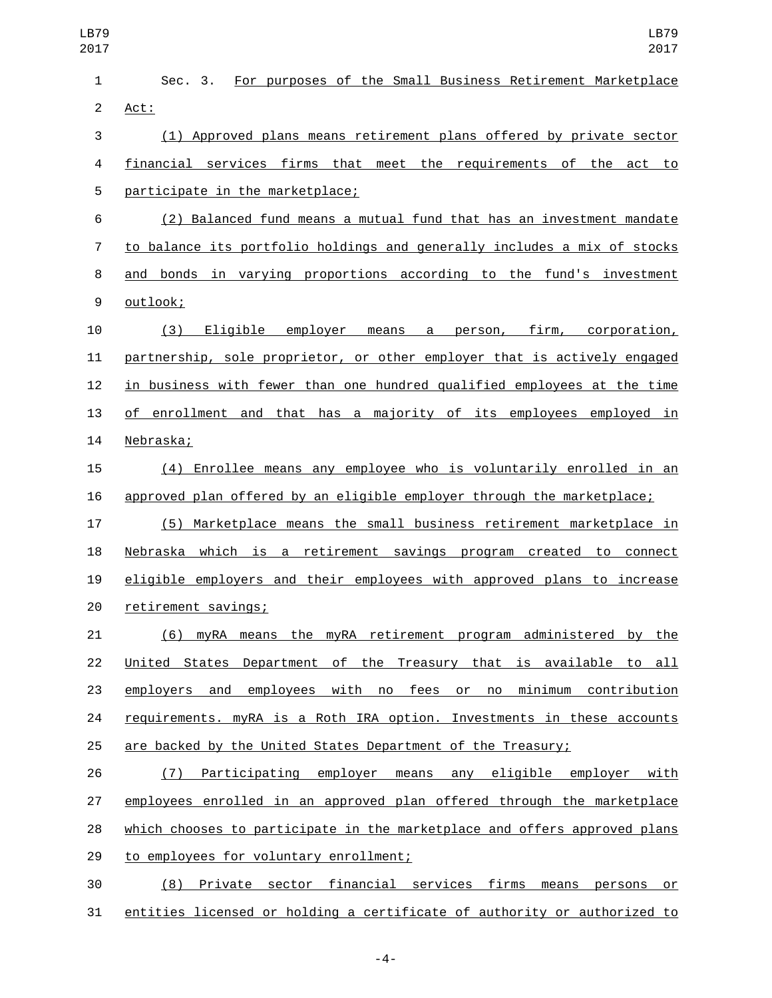| LB79<br>2017   | <b>LB79</b><br>2017                                                       |
|----------------|---------------------------------------------------------------------------|
| 1              | For purposes of the Small Business Retirement Marketplace<br>Sec. 3.      |
| $\overline{c}$ | Act:                                                                      |
| 3              | (1) Approved plans means retirement plans offered by private sector       |
| 4              | financial services firms that meet the requirements of the act to         |
| 5              | participate in the marketplace;                                           |
| 6              | (2) Balanced fund means a mutual fund that has an investment mandate      |
| $\overline{7}$ | to balance its portfolio holdings and generally includes a mix of stocks  |
| 8              | and bonds in varying proportions according to the fund's investment       |
| 9              | outlook;                                                                  |
| 10             | (3)<br>Eligible employer means a person, firm, corporation,               |
| 11             | partnership, sole proprietor, or other employer that is actively engaged  |
| 12             | in business with fewer than one hundred qualified employees at the time   |
| 13             | of enrollment and that has a majority of its employees employed in        |
| 14             | Nebraska;                                                                 |
| 15             | (4) Enrollee means any employee who is voluntarily enrolled in an         |
| 16             | approved plan offered by an eligible employer through the marketplace;    |
| 17             | (5) Marketplace means the small business retirement marketplace in        |
| 18             | Nebraska which is a retirement savings program created to connect         |
| 19             | eligible employers and their employees with approved plans to increase    |
| 20             | retirement savings;                                                       |
| 21             | myRA means the myRA retirement program administered by the<br>(6)         |
| 22             | United States Department of the Treasury that is available to all         |
| 23             | employers and employees with no fees or no minimum contribution           |
| 24             | requirements. myRA is a Roth IRA option. Investments in these accounts    |
| 25             | are backed by the United States Department of the Treasury;               |
| 26             | Participating employer means any eligible employer with<br>(7)            |
| 27             | employees enrolled in an approved plan offered through the marketplace    |
| 28             | which chooses to participate in the marketplace and offers approved plans |
| 29             | to employees for voluntary enrollment;                                    |
| 30             | Private sector financial services firms means persons or<br>(8)           |
| 31             | entities licensed or holding a certificate of authority or authorized to  |

-4-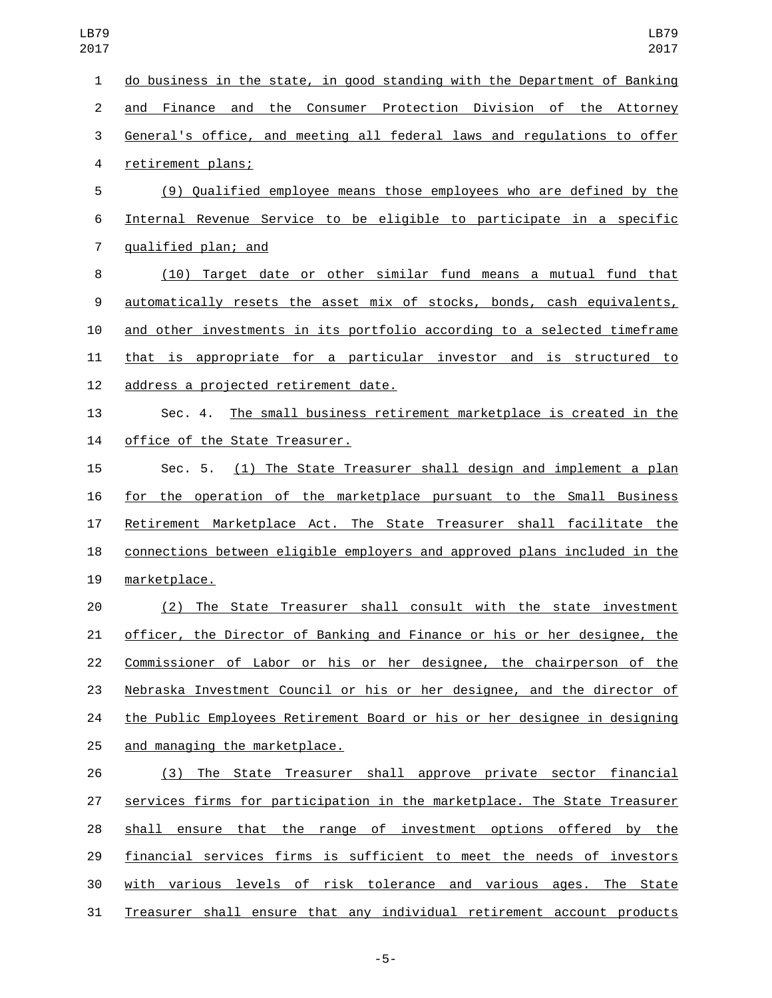| LB79<br>2017   | LB79<br>2017                                                              |
|----------------|---------------------------------------------------------------------------|
| 1              | do business in the state, in good standing with the Department of Banking |
| 2              | and Finance and the Consumer Protection Division of the Attorney          |
| 3              | General's office, and meeting all federal laws and regulations to offer   |
| 4              | retirement plans;                                                         |
| 5              | (9) Qualified employee means those employees who are defined by the       |
| 6              | Internal Revenue Service to be eligible to participate in a specific      |
| $\overline{7}$ | qualified plan; and                                                       |

 (10) Target date or other similar fund means a mutual fund that automatically resets the asset mix of stocks, bonds, cash equivalents, and other investments in its portfolio according to a selected timeframe that is appropriate for a particular investor and is structured to 12 address a projected retirement date.

 Sec. 4. The small business retirement marketplace is created in the 14 office of the State Treasurer.

 Sec. 5. (1) The State Treasurer shall design and implement a plan for the operation of the marketplace pursuant to the Small Business Retirement Marketplace Act. The State Treasurer shall facilitate the connections between eligible employers and approved plans included in the 19 marketplace.

 (2) The State Treasurer shall consult with the state investment officer, the Director of Banking and Finance or his or her designee, the Commissioner of Labor or his or her designee, the chairperson of the Nebraska Investment Council or his or her designee, and the director of the Public Employees Retirement Board or his or her designee in designing 25 and managing the marketplace.

 (3) The State Treasurer shall approve private sector financial services firms for participation in the marketplace. The State Treasurer shall ensure that the range of investment options offered by the financial services firms is sufficient to meet the needs of investors with various levels of risk tolerance and various ages. The State Treasurer shall ensure that any individual retirement account products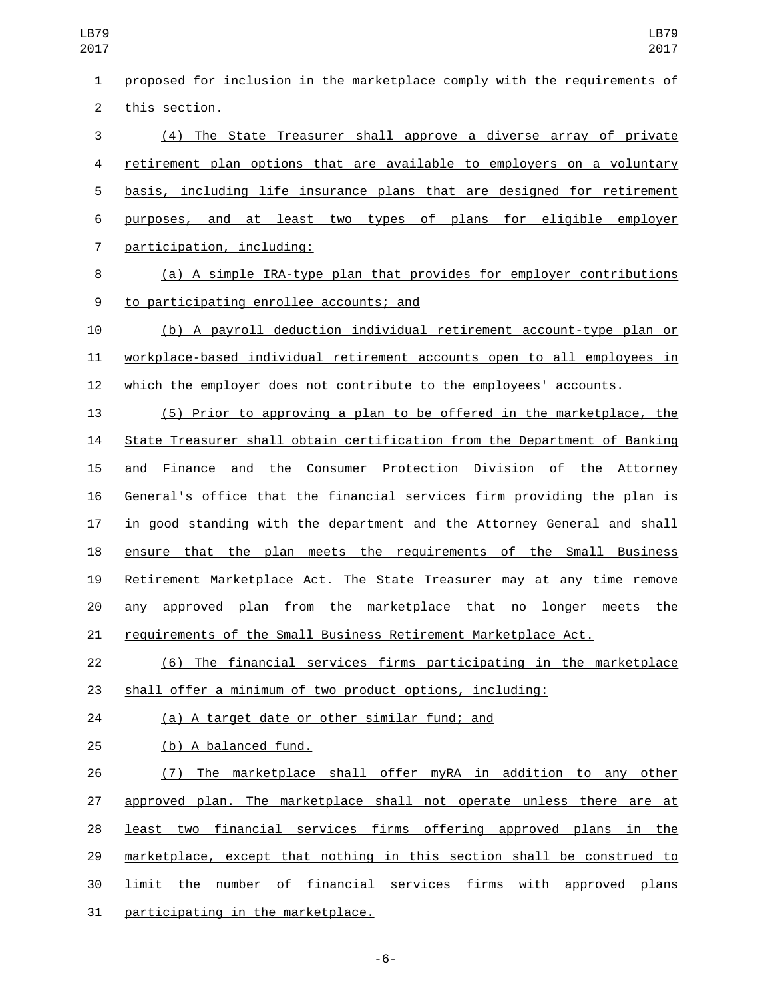| <b>LB79</b><br>2017 | <b>LB79</b><br>2017                                                       |
|---------------------|---------------------------------------------------------------------------|
| $\mathbf{1}$        | proposed for inclusion in the marketplace comply with the requirements of |
| $\overline{2}$      | this section.                                                             |
| 3                   | (4) The State Treasurer shall approve a diverse array of private          |
| 4                   | retirement plan options that are available to employers on a voluntary    |
| 5                   | basis, including life insurance plans that are designed for retirement    |
| 6                   | purposes, and at least two types of plans for eligible employer           |
| $\overline{7}$      | participation, including:                                                 |
| 8                   | (a) A simple IRA-type plan that provides for employer contributions       |
| 9                   | to participating enrollee accounts; and                                   |
| 10                  | (b) A payroll deduction individual retirement account-type plan or        |
| 11                  | workplace-based individual retirement accounts open to all employees in   |
| 12                  | which the employer does not contribute to the employees' accounts.        |
| 13                  | (5) Prior to approving a plan to be offered in the marketplace, the       |
| 14                  | State Treasurer shall obtain certification from the Department of Banking |
| 15                  | and Finance and the Consumer Protection Division of the Attorney          |
| 16                  | General's office that the financial services firm providing the plan is   |
| 17                  | in good standing with the department and the Attorney General and shall   |
| 18                  | ensure that the plan meets the requirements of the Small Business         |
| 19                  | Retirement Marketplace Act. The State Treasurer may at any time remove    |
| 20                  | any approved plan from the marketplace that no longer meets the           |
| 21                  | requirements of the Small Business Retirement Marketplace Act.            |
| 22                  | (6) The financial services firms participating in the marketplace         |
| 23                  | shall offer a minimum of two product options, including:                  |
| 24                  | (a) A target date or other similar fund; and                              |
| 25                  | (b) A balanced fund.                                                      |
| 26                  | The marketplace shall offer myRA in addition to any other<br>(7)          |
| 27                  | approved plan. The marketplace shall not operate unless there are at      |
| 28                  | least two financial services firms offering approved plans in the         |

marketplace, except that nothing in this section shall be construed to

limit the number of financial services firms with approved plans

31 participating in the marketplace.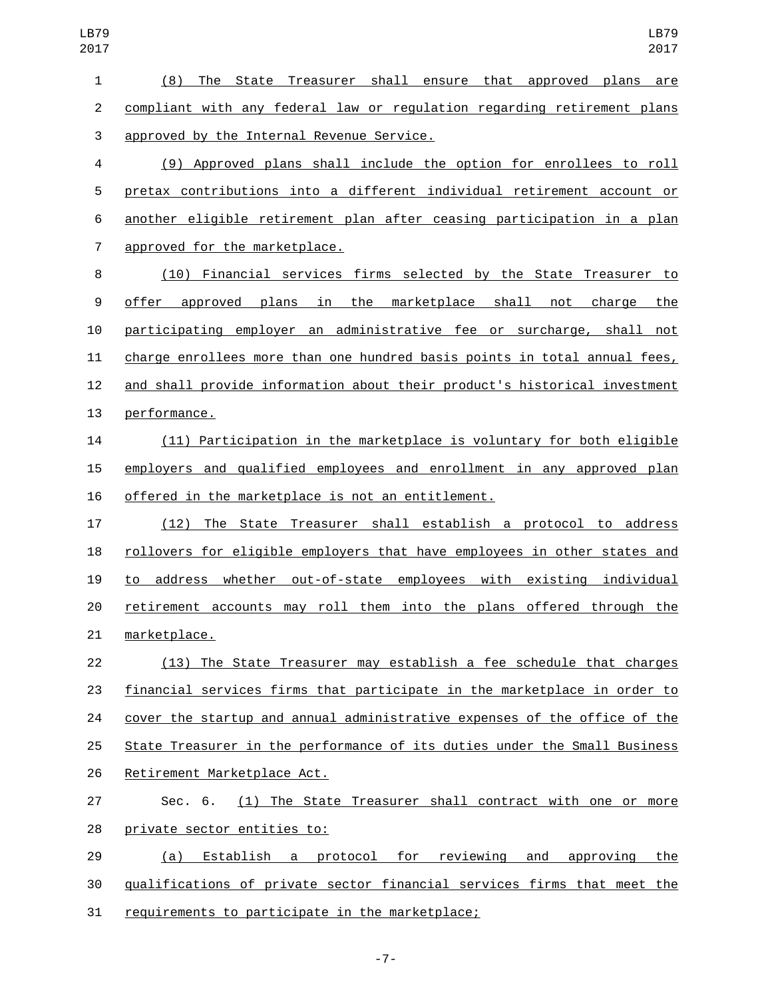(8) The State Treasurer shall ensure that approved plans are compliant with any federal law or regulation regarding retirement plans 3 approved by the Internal Revenue Service.

 (9) Approved plans shall include the option for enrollees to roll pretax contributions into a different individual retirement account or another eligible retirement plan after ceasing participation in a plan 7 approved for the marketplace.

 (10) Financial services firms selected by the State Treasurer to offer approved plans in the marketplace shall not charge the participating employer an administrative fee or surcharge, shall not charge enrollees more than one hundred basis points in total annual fees, and shall provide information about their product's historical investment 13 performance.

 (11) Participation in the marketplace is voluntary for both eligible employers and qualified employees and enrollment in any approved plan 16 offered in the marketplace is not an entitlement.

 (12) The State Treasurer shall establish a protocol to address rollovers for eligible employers that have employees in other states and to address whether out-of-state employees with existing individual retirement accounts may roll them into the plans offered through the 21 marketplace.

 (13) The State Treasurer may establish a fee schedule that charges financial services firms that participate in the marketplace in order to cover the startup and annual administrative expenses of the office of the State Treasurer in the performance of its duties under the Small Business 26 Retirement Marketplace Act.

 Sec. 6. (1) The State Treasurer shall contract with one or more 28 private sector entities to:

 (a) Establish a protocol for reviewing and approving the qualifications of private sector financial services firms that meet the 31 requirements to participate in the marketplace;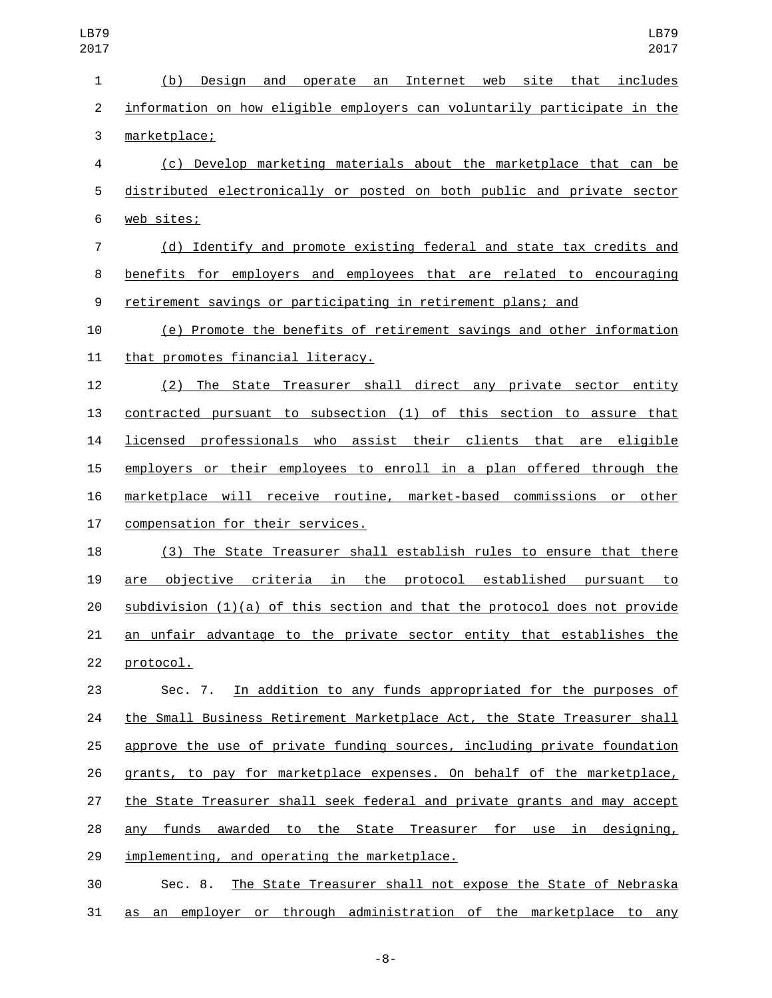| LB79<br>2017            | LB79<br>2017                                                                |
|-------------------------|-----------------------------------------------------------------------------|
| $\mathbf{1}$            | Internet web site that includes<br>(b)<br>Design<br>and<br>operate an       |
| $\overline{2}$          | information on how eligible employers can voluntarily participate in the    |
| 3                       | marketplace;                                                                |
| $\overline{\mathbf{4}}$ | (c) Develop marketing materials about the marketplace that can be           |
| 5                       | distributed electronically or posted on both public and private sector      |
| $\,6$                   | web sites;                                                                  |
| $\overline{7}$          | (d) Identify and promote existing federal and state tax credits and         |
| 8                       | benefits for employers and employees that are related to encouraging        |
| 9                       | retirement savings or participating in retirement plans; and                |
| 10                      | (e) Promote the benefits of retirement savings and other information        |
| 11                      | that promotes financial literacy.                                           |
| 12                      | The State Treasurer shall direct any private sector entity<br>(2)           |
| 13                      | contracted pursuant to subsection (1) of this section to assure that        |
| 14                      | licensed professionals who assist their clients that are eligible           |
| 15                      | employers or their employees to enroll in a plan offered through the        |
| 16                      | marketplace will receive routine, market-based commissions or other         |
| 17                      | compensation for their services.                                            |
| 18                      | (3) The State Treasurer shall establish rules to ensure that there          |
| 19                      | objective criteria in the protocol established pursuant to<br>are           |
| 20                      | $subdivision (1)(a)$ of this section and that the protocol does not provide |
| 21                      | an unfair advantage to the private sector entity that establishes the       |
| 22                      | protocol.                                                                   |
| 23                      | Sec. 7. In addition to any funds appropriated for the purposes of           |
| 24                      | the Small Business Retirement Marketplace Act, the State Treasurer shall    |
| 25                      | approve the use of private funding sources, including private foundation    |
| 26                      | grants, to pay for marketplace expenses. On behalf of the marketplace,      |
| 27                      | the State Treasurer shall seek federal and private grants and may accept    |
| 28                      | any funds awarded to the State Treasurer for use in designing,              |
| 29                      | implementing, and operating the marketplace.                                |
| 30                      | The State Treasurer shall not expose the State of Nebraska<br>Sec. 8.       |
|                         |                                                                             |

as an employer or through administration of the marketplace to any